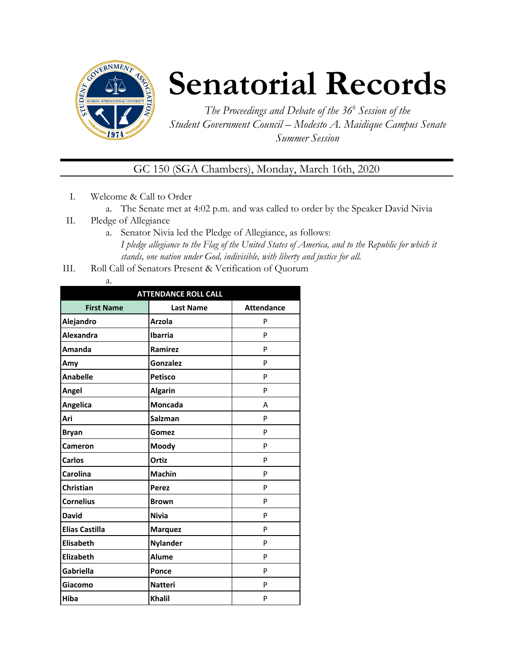

# **Senatorial Records**

*The Proceedings and Debate of the 36 <sup>h</sup> Session of the Student Government Council – Modesto A. Maidique Campus Senate Summer Session*

GC 150 (SGA Chambers), Monday, March 16th, 2020

- I. Welcome & Call to Order
	- a. The Senate met at 4:02 p.m. and was called to order by the Speaker David Nivia
- II. Pledge of Allegiance
	- a. Senator Nivia led the Pledge of Allegiance, as follows: *I pledge allegiance to the Flag of the United States of America, and to the Republic for which it stands, one nation under God, indivisible, with liberty and justice for all.*
- III. Roll Call of Senators Present & Verification of Quorum

| . .<br>÷<br>۰. |
|----------------|

| <b>ATTENDANCE ROLL CALL</b> |                  |                   |  |  |  |
|-----------------------------|------------------|-------------------|--|--|--|
| <b>First Name</b>           | <b>Last Name</b> | <b>Attendance</b> |  |  |  |
| Alejandro                   | <b>Arzola</b>    | P                 |  |  |  |
| <b>Alexandra</b>            | <b>Ibarria</b>   | P                 |  |  |  |
| Amanda                      | Ramirez          | P                 |  |  |  |
| Amy                         | <b>Gonzalez</b>  | P                 |  |  |  |
| <b>Anabelle</b>             | <b>Petisco</b>   | P                 |  |  |  |
| Angel                       | <b>Algarin</b>   | P                 |  |  |  |
| Angelica                    | <b>Moncada</b>   | А                 |  |  |  |
| Ari                         | <b>Salzman</b>   | P                 |  |  |  |
| <b>Bryan</b>                | Gomez            | P                 |  |  |  |
| Cameron                     | Moody            | P                 |  |  |  |
| <b>Carlos</b>               | Ortiz            | P                 |  |  |  |
| Carolina                    | <b>Machin</b>    | P                 |  |  |  |
| Christian                   | <b>Perez</b>     | P                 |  |  |  |
| <b>Cornelius</b>            | <b>Brown</b>     | P                 |  |  |  |
| <b>David</b>                | <b>Nivia</b>     | P                 |  |  |  |
| <b>Elias Castilla</b>       | <b>Marquez</b>   | P                 |  |  |  |
| <b>Elisabeth</b>            | <b>Nylander</b>  | P                 |  |  |  |
| Elizabeth                   | <b>Alume</b>     | P                 |  |  |  |
| Gabriella                   | Ponce            | P                 |  |  |  |
| Giacomo                     | <b>Natteri</b>   | P                 |  |  |  |
| Hiba                        | <b>Khalil</b>    | P                 |  |  |  |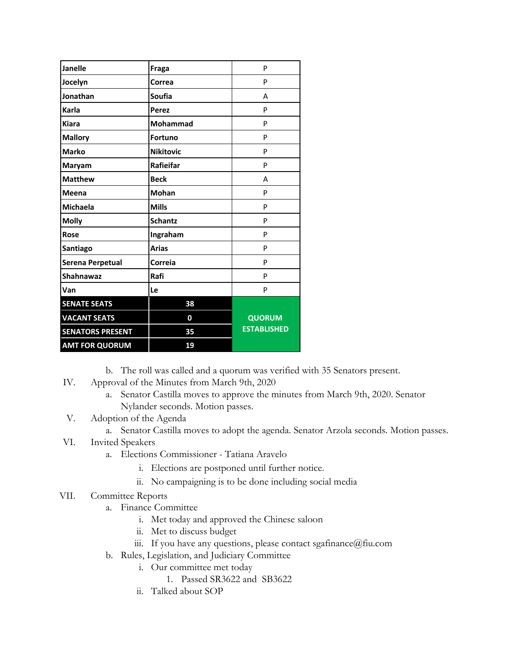| <b>Janelle</b>          | Fraga            | P                  |
|-------------------------|------------------|--------------------|
| Jocelyn                 | Correa           | P                  |
| Jonathan                | <b>Soufia</b>    | A                  |
| Karla                   | <b>Perez</b>     | P                  |
| <b>Kiara</b>            | <b>Mohammad</b>  | P                  |
| <b>Mallory</b>          | <b>Fortuno</b>   | P                  |
| <b>Marko</b>            | <b>Nikitovic</b> | P                  |
| Maryam                  | Rafieifar        | P                  |
| <b>Matthew</b>          | <b>Beck</b>      | А                  |
| Meena                   | <b>Mohan</b>     | P                  |
| <b>Michaela</b>         | <b>Mills</b>     | P                  |
| <b>Molly</b>            | <b>Schantz</b>   | P                  |
| Rose                    | Ingraham         | P                  |
| Santiago                | <b>Arias</b>     | P                  |
| Serena Perpetual        | Correia          | P                  |
| <b>Shahnawaz</b>        | Rafi             | P                  |
| Van                     | Le               | P                  |
| <b>SENATE SEATS</b>     | 38               |                    |
| <b>VACANT SEATS</b>     | 0                | <b>QUORUM</b>      |
| <b>SENATORS PRESENT</b> | 35               | <b>ESTABLISHED</b> |
| <b>AMT FOR QUORUM</b>   | 19               |                    |

b. The roll was called and a quorum was verified with 35 Senators present.

- IV. Approval of the Minutes from March 9th, 2020
	- a. Senator Castilla moves to approve the minutes from March 9th, 2020. Senator Nylander seconds. Motion passes.
- V. Adoption of the Agenda
	- a. Senator Castilla moves to adopt the agenda. Senator Arzola seconds. Motion passes.
- VI. Invited Speakers
	- a. Elections Commissioner Tatiana Aravelo
		- i. Elections are postponed until further notice.
		- ii. No campaigning is to be done including social media

### VII. Committee Reports

- a. Finance Committee
	- i. Met today and approved the Chinese saloon
	- ii. Met to discuss budget
	- iii. If you have any questions, please contact sgafinance@fiu.com
- b. Rules, Legislation, and Judiciary Committee
	- i. Our committee met today
		- 1. Passed SR3622 and SB3622
	- ii. Talked about SOP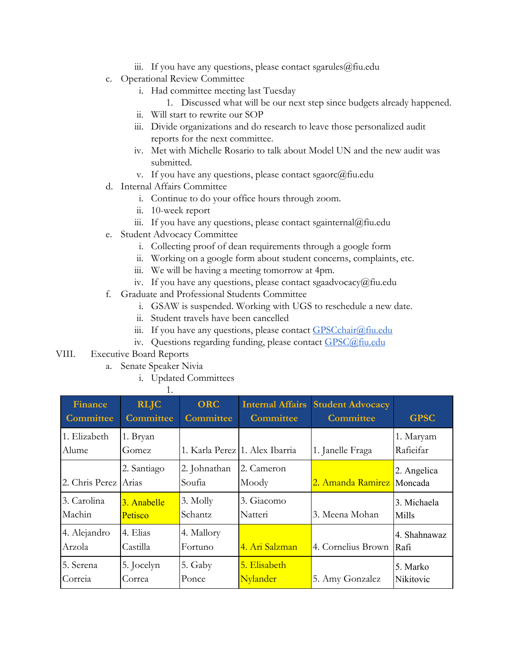- iii. If you have any questions, please contact sgarules  $@$  fiu.edu
- c. Operational Review Committee
	- i. Had committee meeting last Tuesday
		- 1. Discussed what will be our next step since budgets already happened.
	- ii. Will start to rewrite our SOP
	- iii. Divide organizations and do research to leave those personalized audit reports for the next committee.
	- iv. Met with Michelle Rosario to talk about Model UN and the new audit was submitted.
	- v. If you have any questions, please contact sgaorc@fiu.edu
- d. Internal Affairs Committee
	- i. Continue to do your office hours through zoom.
	- ii. 10-week report
	- iii. If you have any questions, please contact sgainternal@fiu.edu
- e. Student Advocacy Committee
	- i. Collecting proof of dean requirements through a google form
	- ii. Working on a google form about student concerns, complaints, etc.
	- iii. We will be having a meeting tomorrow at 4pm.
	- iv. If you have any questions, please contact sgaadvocacy@fiu.edu
- f. Graduate and Professional Students Committee
	- i. GSAW is suspended. Working with UGS to reschedule a new date.
	- ii. Student travels have been cancelled
	- iii. If you have any questions, please contact [GPSCchair@fiu.edu](mailto:GPSCchair@fiu.edu)
	- iv. Questions regarding funding, please contact [GPSC@fiu.edu](mailto:GPC@fiu.edu)

### VIII. Executive Board Reports

- a. Senate Speaker Nivia
	- i. Updated Committees

1.

| <b>Finance</b>         | <b>RLJC</b>          | <b>ORC</b>             | <b>Internal Affairs</b>        | <b>Student Advocacy</b>   | <b>GPSC</b>            |
|------------------------|----------------------|------------------------|--------------------------------|---------------------------|------------------------|
| <b>Committee</b>       | <b>Committee</b>     | <b>Committee</b>       | <b>Committee</b>               | <b>Committee</b>          |                        |
| 1. Elizabeth<br>Alume  | 1. Bryan<br>Gomez    |                        | 1. Karla Perez 1. Alex Ibarria | 1. Janelle Fraga          | 1. Maryam<br>Rafieifar |
| 2. Chris Perez         | 2. Santiago<br>Arias | 2. Johnathan<br>Soufia | 2. Cameron<br>Moody            | 2. Amanda Ramirez Moncada | 2. Angelica            |
| 3. Carolina            | 3. Anabelle          | 3. Molly               | 3. Giacomo                     | 3. Meena Mohan            | 3. Michaela            |
| Machin                 | <b>Petisco</b>       | Schantz                | Natteri                        |                           | Mills                  |
| 4. Alejandro<br>Arzola | 4. Elias<br>Castilla | 4. Mallory<br>Fortuno  | 4. Ari Salzman                 | 4. Cornelius Brown        | 4. Shahnawaz<br>Rafi   |
| 5. Serena              | 5. Jocelyn           | 5. Gaby                | 5. Elisabeth                   | 5. Amy Gonzalez           | 5. Marko               |
| Correia                | Correa               | Ponce                  | Nylander                       |                           | Nikitovic              |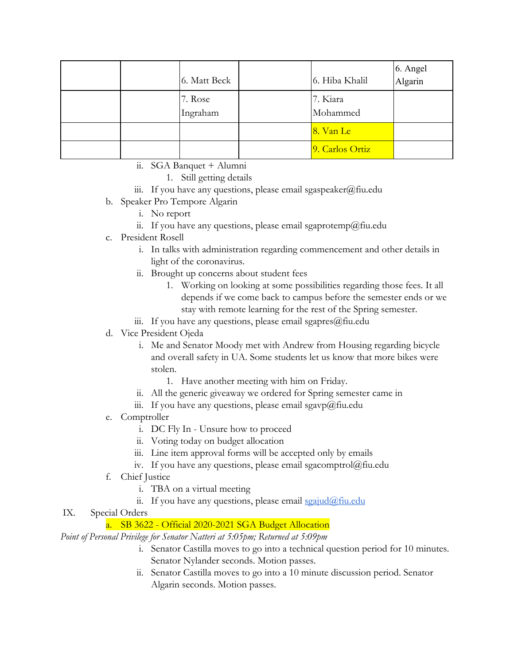|  | 6. Matt Beck        | 6. Hiba Khalil       | 6. Angel<br>Algarin |
|--|---------------------|----------------------|---------------------|
|  | 7. Rose<br>Ingraham | 7. Kiara<br>Mohammed |                     |
|  |                     | 8. Van Le            |                     |
|  |                     | 9. Carlos Ortiz      |                     |

- ii. SGA Banquet + Alumni
	- 1. Still getting details
- iii. If you have any questions, please email sgaspeaker@fiu.edu
- b. Speaker Pro Tempore Algarin
	- i. No report
	- ii. If you have any questions, please email sgaprotemp@fiu.edu
- c. President Rosell
	- i. In talks with administration regarding commencement and other details in light of the coronavirus.
	- ii. Brought up concerns about student fees
		- 1. Working on looking at some possibilities regarding those fees. It all depends if we come back to campus before the semester ends or we stay with remote learning for the rest of the Spring semester.
	- iii. If you have any questions, please email sgapres $@$ fiu.edu

### d. Vice President Ojeda

- i. Me and Senator Moody met with Andrew from Housing regarding bicycle and overall safety in UA. Some students let us know that more bikes were stolen.
	- 1. Have another meeting with him on Friday.
- ii. All the generic giveaway we ordered for Spring semester came in
- iii. If you have any questions, please email sgavp $\omega$ fiu.edu
- e. Comptroller
	- i. DC Fly In Unsure how to proceed
	- ii. Voting today on budget allocation
	- iii. Line item approval forms will be accepted only by emails
	- iv. If you have any questions, please email sgacomptrol@fiu.edu
- f. Chief Justice
	- i. TBA on a virtual meeting
	- ii. If you have any questions, please email  $\frac{\sigma}{\sigma}$  in  $\frac{\sigma}{\sigma}$

## IX. Special Orders

## a. SB 3622 - Official 2020-2021 SGA Budget Allocation

*Point of Personal Privilege for Senator Natteri at 5:05pm; Returned at 5:09pm*

- i. Senator Castilla moves to go into a technical question period for 10 minutes. Senator Nylander seconds. Motion passes.
- ii. Senator Castilla moves to go into a 10 minute discussion period. Senator Algarin seconds. Motion passes.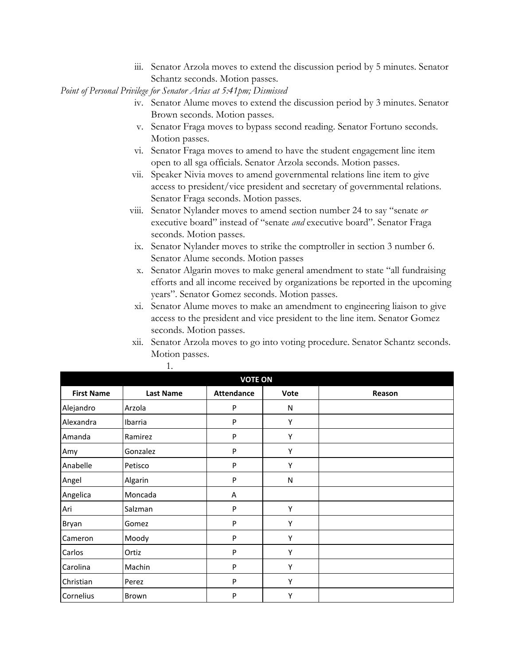iii. Senator Arzola moves to extend the discussion period by 5 minutes. Senator Schantz seconds. Motion passes.

*Point of Personal Privilege for Senator Arias at 5:41pm; Dismissed*

- iv. Senator Alume moves to extend the discussion period by 3 minutes. Senator Brown seconds. Motion passes.
- v. Senator Fraga moves to bypass second reading. Senator Fortuno seconds. Motion passes.
- vi. Senator Fraga moves to amend to have the student engagement line item open to all sga officials. Senator Arzola seconds. Motion passes.
- vii. Speaker Nivia moves to amend governmental relations line item to give access to president/vice president and secretary of governmental relations. Senator Fraga seconds. Motion passes.
- viii. Senator Nylander moves to amend section number 24 to say "senate *or* executive board" instead of "senate *and* executive board". Senator Fraga seconds. Motion passes.
- ix. Senator Nylander moves to strike the comptroller in section 3 number 6. Senator Alume seconds. Motion passes
- x. Senator Algarin moves to make general amendment to state "all fundraising efforts and all income received by organizations be reported in the upcoming years". Senator Gomez seconds. Motion passes.
- xi. Senator Alume moves to make an amendment to engineering liaison to give access to the president and vice president to the line item. Senator Gomez seconds. Motion passes.
- xii. Senator Arzola moves to go into voting procedure. Senator Schantz seconds. Motion passes.

| <b>VOTE ON</b>    |                  |                   |           |        |  |  |
|-------------------|------------------|-------------------|-----------|--------|--|--|
| <b>First Name</b> | <b>Last Name</b> | <b>Attendance</b> | Vote      | Reason |  |  |
| Alejandro         | Arzola           | P                 | N         |        |  |  |
| Alexandra         | Ibarria          | P                 | Υ         |        |  |  |
| Amanda            | Ramirez          | P                 | Υ         |        |  |  |
| Amy               | Gonzalez         | P                 | Υ         |        |  |  |
| Anabelle          | Petisco          | P                 | Υ         |        |  |  |
| Angel             | Algarin          | P                 | ${\sf N}$ |        |  |  |
| Angelica          | Moncada          | Α                 |           |        |  |  |
| Ari               | Salzman          | P                 | Υ         |        |  |  |
| Bryan             | Gomez            | P                 | Y         |        |  |  |
| Cameron           | Moody            | P                 | Υ         |        |  |  |
| Carlos            | Ortiz            | P                 | Y         |        |  |  |
| Carolina          | Machin           | P                 | Υ         |        |  |  |
| Christian         | Perez            | P                 | Υ         |        |  |  |
| Cornelius         | Brown            | P                 | Υ         |        |  |  |

1.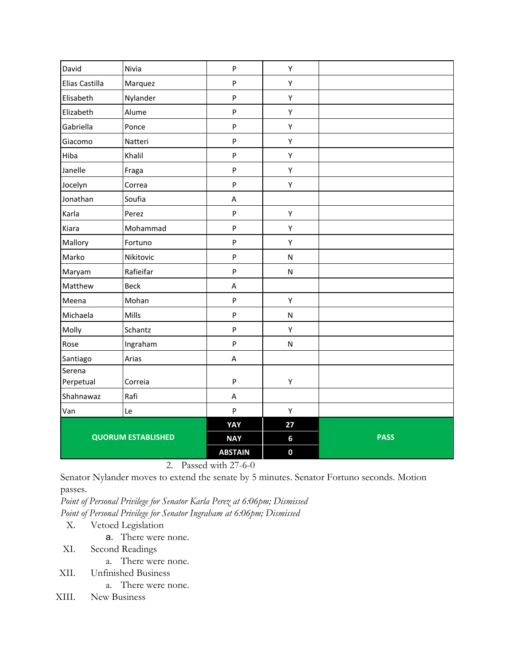| David                     | Nivia       | $\sf P$                   | Υ            |             |
|---------------------------|-------------|---------------------------|--------------|-------------|
| Elias Castilla            | Marquez     | $\sf P$                   | Y            |             |
| Elisabeth                 | Nylander    | $\sf P$                   | Υ            |             |
| Elizabeth                 | Alume       | $\boldsymbol{\mathsf{P}}$ | Υ            |             |
| Gabriella                 | Ponce       | $\sf P$                   | Y            |             |
| Giacomo                   | Natteri     | $\sf P$                   | Υ            |             |
| Hiba                      | Khalil      | $\sf P$                   | Υ            |             |
| Janelle                   | Fraga       | $\sf P$                   | Υ            |             |
| Jocelyn                   | Correa      | $\boldsymbol{\mathsf{P}}$ | Υ            |             |
| Jonathan                  | Soufia      | $\boldsymbol{\mathsf{A}}$ |              |             |
| Karla                     | Perez       | $\sf P$                   | Υ            |             |
| Kiara                     | Mohammad    | P                         | Υ            |             |
| Mallory                   | Fortuno     | $\boldsymbol{\mathsf{P}}$ | Υ            |             |
| Marko                     | Nikitovic   | P                         | $\mathsf{N}$ |             |
| Maryam                    | Rafieifar   | $\boldsymbol{\mathsf{P}}$ | ${\sf N}$    |             |
| Matthew                   | <b>Beck</b> | Α                         |              |             |
| Meena                     | Mohan       | $\boldsymbol{\mathsf{P}}$ | Υ            |             |
| Michaela                  | Mills       | $\sf P$                   | ${\sf N}$    |             |
| Molly                     | Schantz     | ${\sf P}$                 | Υ            |             |
| Rose                      | Ingraham    | P                         | $\mathsf{N}$ |             |
| Santiago                  | Arias       | Α                         |              |             |
| Serena<br>Perpetual       | Correia     | $\boldsymbol{\mathsf{P}}$ | Υ            |             |
| Shahnawaz                 | Rafi        | $\sf A$                   |              |             |
| Van                       | Le          | $\sf P$                   | Υ            |             |
|                           |             | YAY                       | 27           |             |
| <b>QUORUM ESTABLISHED</b> |             | <b>NAY</b>                | 6            | <b>PASS</b> |
|                           |             | <b>ABSTAIN</b>            | $\mathbf 0$  |             |

2. Passed with 27-6-0

Senator Nylander moves to extend the senate by 5 minutes. Senator Fortuno seconds. Motion passes.

*Point of Personal Privilege for Senator Karla Perez at 6:06pm; Dismissed Point of Personal Privilege for Senator Ingraham at 6:06pm; Dismissed*

X. Vetoed Legislation

- a. There were none.
- XI. Second Readings
	- a. There were none.
- XII. Unfinished Business
	- a. There were none.
- XIII. New Business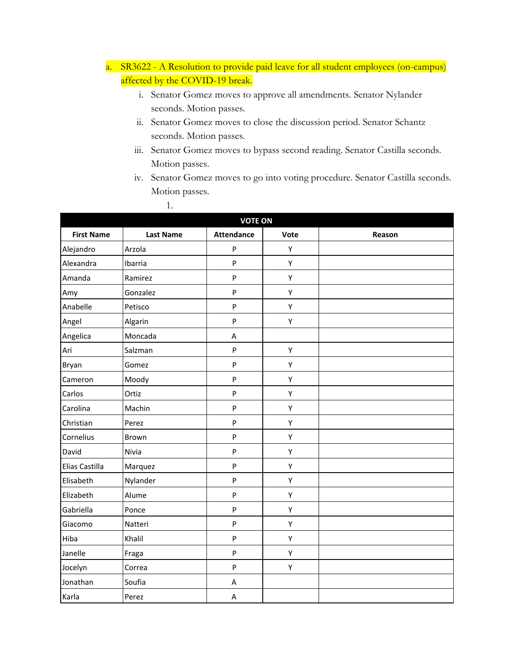- a. SR3622 A Resolution to provide paid leave for all student employees (on-campus) affected by the COVID-19 break.
	- i. Senator Gomez moves to approve all amendments. Senator Nylander seconds. Motion passes.
	- ii. Senator Gomez moves to close the discussion period. Senator Schantz seconds. Motion passes.

1.

- iii. Senator Gomez moves to bypass second reading. Senator Castilla seconds. Motion passes.
- iv. Senator Gomez moves to go into voting procedure. Senator Castilla seconds. Motion passes.

| <b>VOTE ON</b>    |                  |                           |      |        |  |
|-------------------|------------------|---------------------------|------|--------|--|
| <b>First Name</b> | <b>Last Name</b> | <b>Attendance</b>         | Vote | Reason |  |
| Alejandro         | Arzola           | P                         | Y    |        |  |
| Alexandra         | Ibarria          | $\mathsf{P}$              | Y    |        |  |
| Amanda            | Ramirez          | $\boldsymbol{\mathsf{P}}$ | Y    |        |  |
| Amy               | Gonzalez         | $\sf P$                   | Υ    |        |  |
| Anabelle          | Petisco          | $\sf P$                   | Υ    |        |  |
| Angel             | Algarin          | ${\sf P}$                 | Υ    |        |  |
| Angelica          | Moncada          | A                         |      |        |  |
| Ari               | Salzman          | $\boldsymbol{\mathsf{P}}$ | Υ    |        |  |
| Bryan             | Gomez            | ${\sf P}$                 | Y    |        |  |
| Cameron           | Moody            | $\sf P$                   | Υ    |        |  |
| Carlos            | Ortiz            | ${\sf P}$                 | Y    |        |  |
| Carolina          | Machin           | P                         | Y    |        |  |
| Christian         | Perez            | $\sf P$                   | Y    |        |  |
| Cornelius         | Brown            | $\sf P$                   | Υ    |        |  |
| David             | Nivia            | P                         | Y    |        |  |
| Elias Castilla    | Marquez          | P                         | Y    |        |  |
| Elisabeth         | Nylander         | P                         | Υ    |        |  |
| Elizabeth         | Alume            | $\sf P$                   | Y    |        |  |
| Gabriella         | Ponce            | $\mathsf{P}$              | Y    |        |  |
| Giacomo           | Natteri          | $\mathsf{P}$              | Y    |        |  |
| Hiba              | Khalil           | ${\sf P}$                 | Y    |        |  |
| Janelle           | Fraga            | $\mathsf{P}$              | Y    |        |  |
| Jocelyn           | Correa           | P                         | Y    |        |  |
| Jonathan          | Soufia           | A                         |      |        |  |
| Karla             | Perez            | A                         |      |        |  |